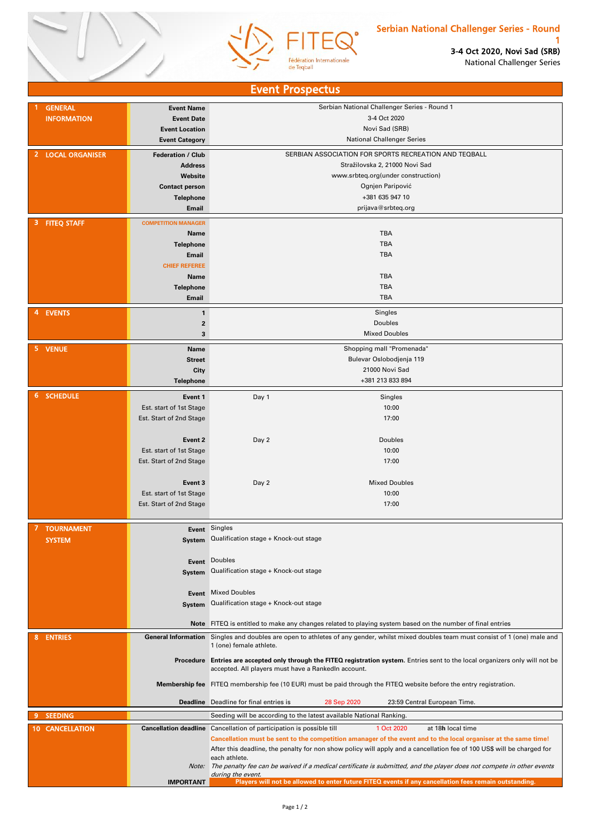



## 1

3-4 Oct 2020, Novi Sad (SRB) National Challenger Series

| <b>Event Prospectus</b>     |                            |                                                                                                                                                 |
|-----------------------------|----------------------------|-------------------------------------------------------------------------------------------------------------------------------------------------|
| <b>GENERAL</b>              | <b>Event Name</b>          | Serbian National Challenger Series - Round 1                                                                                                    |
| <b>INFORMATION</b>          | <b>Event Date</b>          | 3-4 Oct 2020                                                                                                                                    |
|                             | <b>Event Location</b>      | Novi Sad (SRB)                                                                                                                                  |
|                             |                            | <b>National Challenger Series</b>                                                                                                               |
|                             | <b>Event Category</b>      |                                                                                                                                                 |
| <b>LOCAL ORGANISER</b><br>2 | <b>Federation / Club</b>   | SERBIAN ASSOCIATION FOR SPORTS RECREATION AND TEQBALL                                                                                           |
|                             | <b>Address</b>             | Stražilovska 2, 21000 Novi Sad                                                                                                                  |
|                             | Website                    | www.srbteq.org(under construction)                                                                                                              |
|                             | <b>Contact person</b>      | Ognjen Paripović                                                                                                                                |
|                             | <b>Telephone</b>           | +381 635 947 10                                                                                                                                 |
|                             | <b>Email</b>               | prijava@srbteq.org                                                                                                                              |
| 3 FITEQ STAFF               | <b>COMPETITION MANAGER</b> |                                                                                                                                                 |
|                             | Name                       | <b>TBA</b>                                                                                                                                      |
|                             | <b>Telephone</b>           | <b>TBA</b>                                                                                                                                      |
|                             | <b>Email</b>               | <b>TBA</b>                                                                                                                                      |
|                             | <b>CHIEF REFEREE</b>       |                                                                                                                                                 |
|                             | Name                       | <b>TBA</b>                                                                                                                                      |
|                             | <b>Telephone</b>           | <b>TBA</b>                                                                                                                                      |
|                             | <b>Email</b>               | <b>TBA</b>                                                                                                                                      |
| 4 EVENTS                    | $\mathbf{1}$               | Singles                                                                                                                                         |
|                             | $\mathbf 2$                | Doubles                                                                                                                                         |
|                             | 3                          | <b>Mixed Doubles</b>                                                                                                                            |
|                             |                            |                                                                                                                                                 |
| 5 VENUE                     | Name                       | Shopping mall "Promenada"                                                                                                                       |
|                             | <b>Street</b>              | Bulevar Oslobodjenja 119                                                                                                                        |
|                             | City                       | 21000 Novi Sad                                                                                                                                  |
|                             | <b>Telephone</b>           | +381 213 833 894                                                                                                                                |
| 6 SCHEDULE                  | Event 1                    | Day 1<br>Singles                                                                                                                                |
|                             | Est. start of 1st Stage    | 10:00                                                                                                                                           |
|                             | Est. Start of 2nd Stage    | 17:00                                                                                                                                           |
|                             |                            |                                                                                                                                                 |
|                             | Event 2                    | Day 2<br>Doubles                                                                                                                                |
|                             | Est. start of 1st Stage    | 10:00                                                                                                                                           |
|                             | Est. Start of 2nd Stage    | 17:00                                                                                                                                           |
|                             |                            |                                                                                                                                                 |
|                             | Event <sub>3</sub>         | Day 2<br><b>Mixed Doubles</b>                                                                                                                   |
|                             | Est. start of 1st Stage    | 10:00                                                                                                                                           |
|                             | Est. Start of 2nd Stage    | 17:00                                                                                                                                           |
|                             |                            |                                                                                                                                                 |
| 7 TOURNAMENT                |                            | Event Singles                                                                                                                                   |
| <b>SYSTEM</b>               |                            | System Qualification stage + Knock-out stage                                                                                                    |
|                             |                            |                                                                                                                                                 |
|                             |                            | Event Doubles                                                                                                                                   |
|                             | System                     | Qualification stage + Knock-out stage                                                                                                           |
|                             |                            |                                                                                                                                                 |
|                             | Event                      | <b>Mixed Doubles</b>                                                                                                                            |
|                             | System                     | Qualification stage + Knock-out stage                                                                                                           |
|                             |                            |                                                                                                                                                 |
|                             |                            | Note FITEQ is entitled to make any changes related to playing system based on the number of final entries                                       |
| 8 ENTRIES                   | <b>General Information</b> | Singles and doubles are open to athletes of any gender, whilst mixed doubles team must consist of 1 (one) male and                              |
|                             |                            | 1 (one) female athlete.                                                                                                                         |
|                             |                            | Procedure Entries are accepted only through the FITEQ registration system. Entries sent to the local organizers only will not be                |
|                             |                            | accepted. All players must have a RankedIn account.                                                                                             |
|                             |                            | Membership fee FITEQ membership fee (10 EUR) must be paid through the FITEQ website before the entry registration.                              |
|                             |                            |                                                                                                                                                 |
|                             |                            | <b>Deadline</b> Deadline for final entries is<br>23:59 Central European Time.<br>28 Sep 2020                                                    |
| <b>SEEDING</b><br>9         |                            | Seeding will be according to the latest available National Ranking.                                                                             |
| <b>10 CANCELLATION</b>      |                            | Cancellation deadline Cancellation of participation is possible till<br>1 Oct 2020<br>at 18h local time                                         |
|                             |                            | Cancellation must be sent to the competition amanager of the event and to the local organiser at the same time!                                 |
|                             |                            | After this deadline, the penalty for non show policy will apply and a cancellation fee of 100 US\$ will be charged for                          |
|                             |                            | each athlete.                                                                                                                                   |
|                             |                            | Note: The penalty fee can be waived if a medical certificate is submitted, and the player does not compete in other events<br>during the event. |
|                             | <b>IMPORTANT</b>           | Players will not be allowed to enter future FITEQ events if any cancellation fees remain outstanding.                                           |